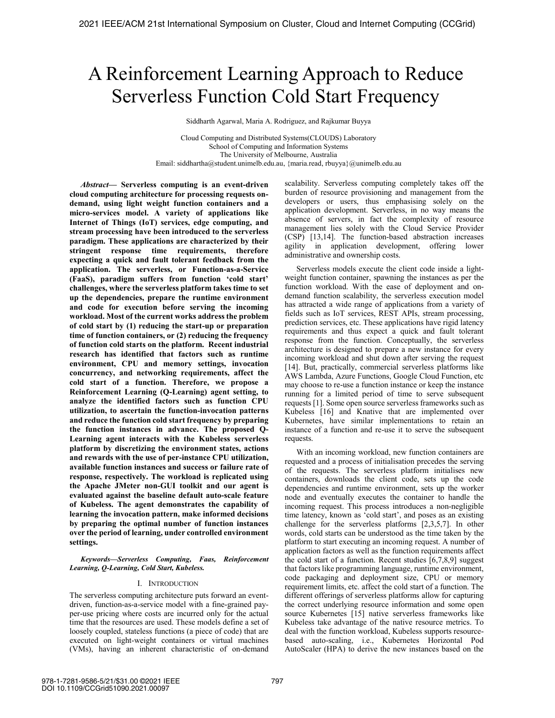# A Reinforcement Learning Approach to Reduce Serverless Function Cold Start Frequency

Siddharth Agarwal, Maria A. Rodriguez, and Rajkumar Buyya

Cloud Computing and Distributed Systems(CLOUDS) Laboratory School of Computing and Information Systems The University of Melbourne, Australia Email: siddhartha@student.unimelb.edu.au, {maria.read, rbuyya}@unimelb.edu.au

*Abstract***— Serverless computing is an event-driven cloud computing architecture for processing requests ondemand, using light weight function containers and a micro-services model. A variety of applications like Internet of Things (IoT) services, edge computing, and stream processing have been introduced to the serverless paradigm. These applications are characterized by their stringent response time requirements, therefore expecting a quick and fault tolerant feedback from the application. The serverless, or Function-as-a-Service (FaaS), paradigm suffers from function 'cold start' challenges, where the serverless platform takes time to set up the dependencies, prepare the runtime environment and code for execution before serving the incoming workload. Most of the current works address the problem of cold start by (1) reducing the start-up or preparation time of function containers, or (2) reducing the frequency of function cold starts on the platform. Recent industrial research has identified that factors such as runtime environment, CPU and memory settings, invocation concurrency, and networking requirements, affect the cold start of a function. Therefore, we propose a Reinforcement Learning (Q-Learning) agent setting, to analyze the identified factors such as function CPU utilization, to ascertain the function-invocation patterns and reduce the function cold start frequency by preparing the function instances in advance. The proposed Q-Learning agent interacts with the Kubeless serverless platform by discretizing the environment states, actions and rewards with the use of per-instance CPU utilization, available function instances and success or failure rate of response, respectively. The workload is replicated using the Apache JMeter non-GUI toolkit and our agent is evaluated against the baseline default auto-scale feature of Kubeless. The agent demonstrates the capability of learning the invocation pattern, make informed decisions by preparing the optimal number of function instances over the period of learning, under controlled environment settings.** 

*Keywords—Serverless Computing, Faas, Reinforcement Learning, Q-Learning, Cold Start, Kubeless.* 

# I. INTRODUCTION

The serverless computing architecture puts forward an eventdriven, function-as-a-service model with a fine-grained payper-use pricing where costs are incurred only for the actual time that the resources are used. These models define a set of loosely coupled, stateless functions (a piece of code) that are executed on light-weight containers or virtual machines (VMs), having an inherent characteristic of on-demand scalability. Serverless computing completely takes off the burden of resource provisioning and management from the developers or users, thus emphasising solely on the application development. Serverless, in no way means the absence of servers, in fact the complexity of resource management lies solely with the Cloud Service Provider (CSP) [13,14]. The function-based abstraction increases agility in application development, offering lower administrative and ownership costs.

Serverless models execute the client code inside a lightweight function container, spawning the instances as per the function workload. With the ease of deployment and ondemand function scalability, the serverless execution model has attracted a wide range of applications from a variety of fields such as IoT services, REST APIs, stream processing, prediction services, etc. These applications have rigid latency requirements and thus expect a quick and fault tolerant response from the function. Conceptually, the serverless architecture is designed to prepare a new instance for every incoming workload and shut down after serving the request [14]. But, practically, commercial serverless platforms like AWS Lambda, Azure Functions, Google Cloud Function, etc may choose to re-use a function instance or keep the instance running for a limited period of time to serve subsequent requests [1]. Some open source serverless frameworks such as Kubeless [16] and Knative that are implemented over Kubernetes, have similar implementations to retain an instance of a function and re-use it to serve the subsequent requests.

With an incoming workload, new function containers are requested and a process of initialisation precedes the serving of the requests. The serverless platform initialises new containers, downloads the client code, sets up the code dependencies and runtime environment, sets up the worker node and eventually executes the container to handle the incoming request. This process introduces a non-negligible time latency, known as 'cold start', and poses as an existing challenge for the serverless platforms [2,3,5,7]. In other words, cold starts can be understood as the time taken by the platform to start executing an incoming request. A number of application factors as well as the function requirements affect the cold start of a function. Recent studies [6,7,8,9] suggest that factors like programming language, runtime environment, code packaging and deployment size, CPU or memory requirement limits, etc. affect the cold start of a function. The different offerings of serverless platforms allow for capturing the correct underlying resource information and some open source Kubernetes [15] native serverless frameworks like Kubeless take advantage of the native resource metrics. To deal with the function workload, Kubeless supports resourcebased auto-scaling, i.e., Kubernetes Horizontal Pod AutoScaler (HPA) to derive the new instances based on the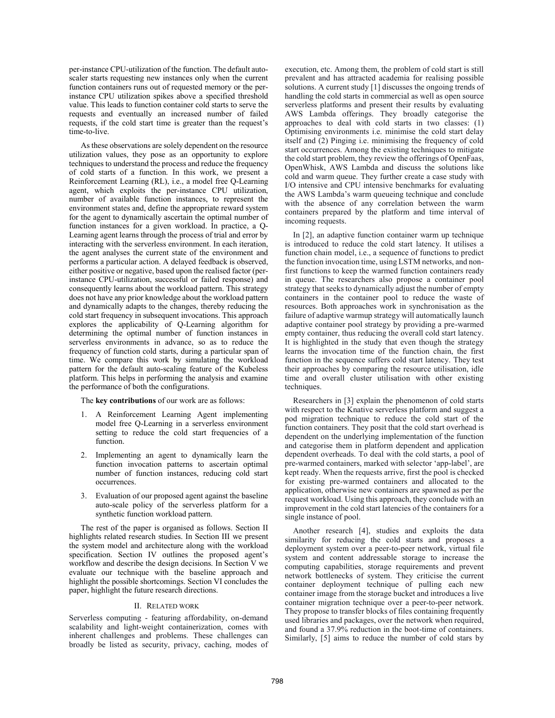per-instance CPU-utilization of the function. The default autoscaler starts requesting new instances only when the current function containers runs out of requested memory or the perinstance CPU utilization spikes above a specified threshold value. This leads to function container cold starts to serve the requests and eventually an increased number of failed requests, if the cold start time is greater than the request's time-to-live.

As these observations are solely dependent on the resource utilization values, they pose as an opportunity to explore techniques to understand the process and reduce the frequency of cold starts of a function. In this work, we present a Reinforcement Learning (RL), i.e., a model free Q-Learning agent, which exploits the per-instance CPU utilization, number of available function instances, to represent the environment states and, define the appropriate reward system for the agent to dynamically ascertain the optimal number of function instances for a given workload. In practice, a Q-Learning agent learns through the process of trial and error by interacting with the serverless environment. In each iteration, the agent analyses the current state of the environment and performs a particular action. A delayed feedback is observed, either positive or negative, based upon the realised factor (perinstance CPU-utilization, successful or failed response) and consequently learns about the workload pattern. This strategy does not have any prior knowledge about the workload pattern and dynamically adapts to the changes, thereby reducing the cold start frequency in subsequent invocations. This approach explores the applicability of Q-Learning algorithm for determining the optimal number of function instances in serverless environments in advance, so as to reduce the frequency of function cold starts, during a particular span of time. We compare this work by simulating the workload pattern for the default auto-scaling feature of the Kubeless platform. This helps in performing the analysis and examine the performance of both the configurations.

The **key contributions** of our work are as follows:

- 1. A Reinforcement Learning Agent implementing model free Q-Learning in a serverless environment setting to reduce the cold start frequencies of a function.
- 2. Implementing an agent to dynamically learn the function invocation patterns to ascertain optimal number of function instances, reducing cold start occurrences.
- 3. Evaluation of our proposed agent against the baseline auto-scale policy of the serverless platform for a synthetic function workload pattern.

The rest of the paper is organised as follows. Section II highlights related research studies. In Section III we present the system model and architecture along with the workload specification. Section IV outlines the proposed agent's workflow and describe the design decisions. In Section V we evaluate our technique with the baseline approach and highlight the possible shortcomings. Section VI concludes the paper, highlight the future research directions.

# II. RELATED WORK

Serverless computing - featuring affordability, on-demand scalability and light-weight containerization, comes with inherent challenges and problems. These challenges can broadly be listed as security, privacy, caching, modes of execution, etc. Among them, the problem of cold start is still prevalent and has attracted academia for realising possible solutions. A current study [1] discusses the ongoing trends of handling the cold starts in commercial as well as open source serverless platforms and present their results by evaluating AWS Lambda offerings. They broadly categorise the approaches to deal with cold starts in two classes: (1) Optimising environments i.e. minimise the cold start delay itself and (2) Pinging i.e. minimising the frequency of cold start occurrences. Among the existing techniques to mitigate the cold start problem, they review the offerings of OpenFaas, OpenWhisk, AWS Lambda and discuss the solutions like cold and warm queue. They further create a case study with I/O intensive and CPU intensive benchmarks for evaluating the AWS Lambda's warm queueing technique and conclude with the absence of any correlation between the warm containers prepared by the platform and time interval of incoming requests.

 In [2], an adaptive function container warm up technique is introduced to reduce the cold start latency. It utilises a function chain model, i.e., a sequence of functions to predict the function invocation time, using LSTM networks, and nonfirst functions to keep the warmed function containers ready in queue. The researchers also propose a container pool strategy that seeks to dynamically adjust the number of empty containers in the container pool to reduce the waste of resources. Both approaches work in synchronisation as the failure of adaptive warmup strategy will automatically launch adaptive container pool strategy by providing a pre-warmed empty container, thus reducing the overall cold start latency. It is highlighted in the study that even though the strategy learns the invocation time of the function chain, the first function in the sequence suffers cold start latency. They test their approaches by comparing the resource utilisation, idle time and overall cluster utilisation with other existing techniques.

 Researchers in [3] explain the phenomenon of cold starts with respect to the Knative serverless platform and suggest a pod migration technique to reduce the cold start of the function containers. They posit that the cold start overhead is dependent on the underlying implementation of the function and categorise them in platform dependent and application dependent overheads. To deal with the cold starts, a pool of pre-warmed containers, marked with selector 'app-label', are kept ready. When the requests arrive, first the pool is checked for existing pre-warmed containers and allocated to the application, otherwise new containers are spawned as per the request workload. Using this approach, they conclude with an improvement in the cold start latencies of the containers for a single instance of pool.

 Another research [4], studies and exploits the data similarity for reducing the cold starts and proposes a deployment system over a peer-to-peer network, virtual file system and content addressable storage to increase the computing capabilities, storage requirements and prevent network bottlenecks of system. They criticise the current container deployment technique of pulling each new container image from the storage bucket and introduces a live container migration technique over a peer-to-peer network. They propose to transfer blocks of files containing frequently used libraries and packages, over the network when required, and found a 37.9% reduction in the boot-time of containers. Similarly, [5] aims to reduce the number of cold stars by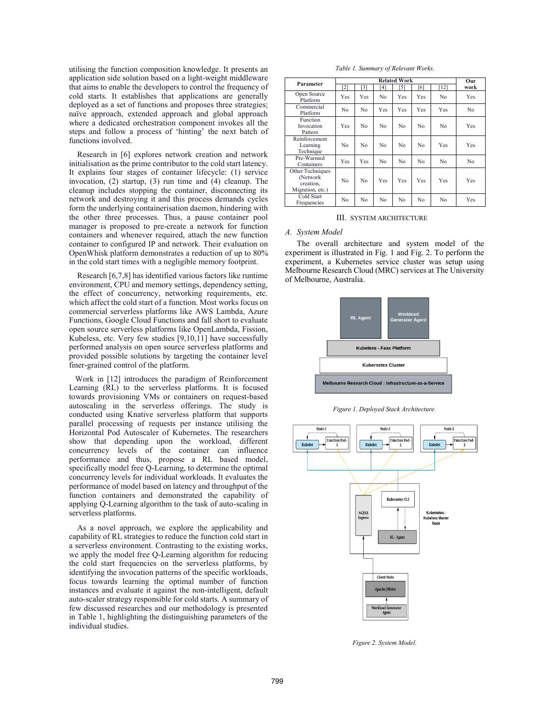utilising the function composition knowledge. It presents an application side solution based on a light-weight middleware that aims to enable the developers to control the frequency of cold starts. It establishes that applications are generally deployed as a set of functions and proposes three strategies; naïve approach, extended approach and global approach where a dedicated orchestration component invokes all the steps and follow a process of 'hinting' the next batch of functions involved.

 Research in [6] explores network creation and network initialisation as the prime contributor to the cold start latency. It explains four stages of container lifecycle: (1) service invocation, (2) startup, (3) run time and (4) cleanup. The cleanup includes stopping the container, disconnecting its network and destroying it and this process demands cycles form the underlying containerisation daemon, hindering with the other three processes. Thus, a pause container pool manager is proposed to pre-create a network for function containers and whenever required, attach the new function container to configured IP and network. Their evaluation on OpenWhisk platform demonstrates a reduction of up to 80% in the cold start times with a negligible memory footprint.

 Research [6,7,8] has identified various factors like runtime environment, CPU and memory settings, dependency setting, the effect of concurrency, networking requirements, etc. which affect the cold start of a function. Most works focus on commercial serverless platforms like AWS Lambda, Azure Functions, Google Cloud Functions and fall short to evaluate open source serverless platforms like OpenLambda, Fission, Kubeless, etc. Very few studies  $[9,10,11]$  have successfully performed analysis on open source serverless platforms and provided possible solutions by targeting the container level finer-grained control of the platform.

 Work in [12] introduces the paradigm of Reinforcement Learning (RL) to the serverless platforms. It is focused towards provisioning VMs or containers on request-based autoscaling in the serverless offerings. The study is conducted using Knative serverless platform that supports parallel processing of requests per instance utilising the Horizontal Pod Autoscaler of Kubernetes. The researchers show that depending upon the workload, different concurrency levels of the container can influence performance and thus, propose a RL based model, specifically model free Q-Learning, to determine the optimal concurrency levels for individual workloads. It evaluates the performance of model based on latency and throughput of the function containers and demonstrated the capability of applying Q-Learning algorithm to the task of auto-scaling in serverless platforms.

 As a novel approach, we explore the applicability and capability of RL strategies to reduce the function cold start in a serverless environment. Contrasting to the existing works, we apply the model free Q-Learning algorithm for reducing the cold start frequencies on the serverless platforms, by identifying the invocation patterns of the specific workloads, focus towards learning the optimal number of function instances and evaluate it against the non-intelligent, default auto-scaler strategy responsible for cold starts. A summary of few discussed researches and our methodology is presented in Table 1, highlighting the distinguishing parameters of the individual studies.

*Table 1. Summary of Relevant Works.* 

| Parameter                                                     | <b>Related Work</b> |     |     |     |     |        | Our  |
|---------------------------------------------------------------|---------------------|-----|-----|-----|-----|--------|------|
|                                                               | [2]                 | [3] | ้41 | [5] | 6   | $[12]$ | work |
| Open Source<br>Platform                                       | Yes                 | Yes | No  | Yes | Yes | No     | Yes  |
| Commercial<br>Platform                                        | N <sub>0</sub>      | No  | Yes | Yes | Yes | Yes    | No   |
| Function<br>Invocation<br>Pattern                             | Yes                 | No  | No  | No  | No  | No     | Yes  |
| Reinforcement<br>Learning<br>Technique                        | N <sub>0</sub>      | No  | No  | No  | No  | Yes    | Yes  |
| Pre-Warmed<br>Containers                                      | Yes                 | Yes | No. | No  | No  | No     | No   |
| Other Techniques<br>(Network<br>creation,<br>Migration, etc.) | No                  | No  | Yes | Yes | Yes | Yes    | Yes  |
| Cold Start<br>Frequencies                                     | No                  | No  | No  | No  | No  | No     | Yes  |

#### III. SYSTEM ARCHITECTURE

## *A. System Model*

The overall architecture and system model of the experiment is illustrated in Fig. 1 and Fig. 2. To perform the experiment, a Kubernetes service cluster was setup using Melbourne Research Cloud (MRC) services at The University of Melbourne, Australia.



*Figure 1. Deployed Stack Architecture.*



*Figure 2. System Model.*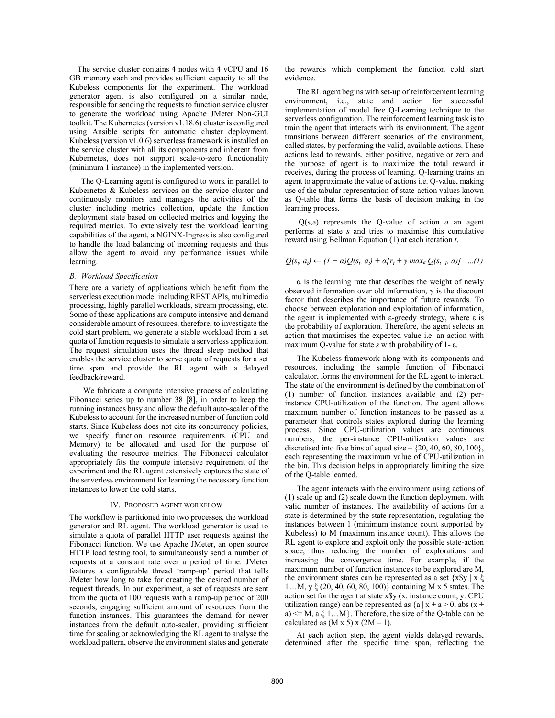The service cluster contains 4 nodes with 4 vCPU and 16 GB memory each and provides sufficient capacity to all the Kubeless components for the experiment. The workload generator agent is also configured on a similar node, responsible for sending the requests to function service cluster to generate the workload using Apache JMeter Non-GUI toolkit. The Kubernetes (version v1.18.6) cluster is configured using Ansible scripts for automatic cluster deployment. Kubeless (version v1.0.6) serverless framework is installed on the service cluster with all its components and inherent from Kubernetes, does not support scale-to-zero functionality (minimum 1 instance) in the implemented version.

The Q-Learning agent is configured to work in parallel to Kubernetes & Kubeless services on the service cluster and continuously monitors and manages the activities of the cluster including metrics collection, update the function deployment state based on collected metrics and logging the required metrics. To extensively test the workload learning capabilities of the agent, a NGINX-Ingress is also configured to handle the load balancing of incoming requests and thus allow the agent to avoid any performance issues while learning.

## *B. Workload Specification*

There are a variety of applications which benefit from the serverless execution model including REST APIs, multimedia processing, highly parallel workloads, stream processing, etc. Some of these applications are compute intensive and demand considerable amount of resources, therefore, to investigate the cold start problem, we generate a stable workload from a set quota of function requests to simulate a serverless application. The request simulation uses the thread sleep method that enables the service cluster to serve quota of requests for a set time span and provide the RL agent with a delayed feedback/reward.

 We fabricate a compute intensive process of calculating Fibonacci series up to number 38 [8], in order to keep the running instances busy and allow the default auto-scaler of the Kubeless to account for the increased number of function cold starts. Since Kubeless does not cite its concurrency policies, we specify function resource requirements (CPU and Memory) to be allocated and used for the purpose of evaluating the resource metrics. The Fibonacci calculator appropriately fits the compute intensive requirement of the experiment and the RL agent extensively captures the state of the serverless environment for learning the necessary function instances to lower the cold starts.

## IV. PROPOSED AGENT WORKFLOW

The workflow is partitioned into two processes, the workload generator and RL agent. The workload generator is used to simulate a quota of parallel HTTP user requests against the Fibonacci function. We use Apache JMeter, an open source HTTP load testing tool, to simultaneously send a number of requests at a constant rate over a period of time. JMeter features a configurable thread 'ramp-up' period that tells JMeter how long to take for creating the desired number of request threads. In our experiment, a set of requests are sent from the quota of 100 requests with a ramp-up period of 200 seconds, engaging sufficient amount of resources from the function instances. This guarantees the demand for newer instances from the default auto-scaler, providing sufficient time for scaling or acknowledging the RL agent to analyse the workload pattern, observe the environment states and generate the rewards which complement the function cold start evidence.

The RL agent begins with set-up of reinforcement learning environment, i.e., state and action for successful implementation of model free Q-Learning technique to the serverless configuration. The reinforcement learning task is to train the agent that interacts with its environment. The agent transitions between different scenarios of the environment, called states, by performing the valid, available actions. These actions lead to rewards, either positive, negative or zero and the purpose of agent is to maximize the total reward it receives, during the process of learning. Q-learning trains an agent to approximate the value of actions i.e. Q-value, making use of the tabular representation of state-action values known as Q-table that forms the basis of decision making in the learning process.

 Q(s,a) represents the Q-value of action *a* an agent performs at state *s* and tries to maximise this cumulative reward using Bellman Equation (1) at each iteration *t*.

$$
Q(s_t, a_t) \leftarrow (1 - \alpha)Q(s_t, a_t) + \alpha[r_t + \gamma \max_a Q(s_{t+1}, a)] \dots (1)
$$

 $\alpha$  is the learning rate that describes the weight of newly observed information over old information, γ is the discount factor that describes the importance of future rewards. To choose between exploration and exploitation of information, the agent is implemented with ε-greedy strategy, where  $ε$  is the probability of exploration. Therefore, the agent selects an action that maximises the expected value i.e. an action with maximum Q-value for state *s* with probability of 1- ε.

The Kubeless framework along with its components and resources, including the sample function of Fibonacci calculator, forms the environment for the RL agent to interact. The state of the environment is defined by the combination of (1) number of function instances available and (2) perinstance CPU-utilization of the function. The agent allows maximum number of function instances to be passed as a parameter that controls states explored during the learning process. Since CPU-utilization values are continuous numbers, the per-instance CPU-utilization values are discretised into five bins of equal size  $\{20, 40, 60, 80, 100\},\$ each representing the maximum value of CPU-utilization in the bin. This decision helps in appropriately limiting the size of the Q-table learned.

The agent interacts with the environment using actions of (1) scale up and (2) scale down the function deployment with valid number of instances. The availability of actions for a state is determined by the state representation, regulating the instances between 1 (minimum instance count supported by Kubeless) to M (maximum instance count). This allows the RL agent to explore and exploit only the possible state-action space, thus reducing the number of explorations and increasing the convergence time. For example, if the maximum number of function instances to be explored are M, the environment states can be represented as a set  $\{x\$ y} \mid x \xi 1…M, y ξ (20, 40, 60, 80, 100)} containing M x 5 states. The action set for the agent at state  $x\$  y (x: instance count, y: CPU utilization range) can be represented as  ${a | x + a > 0}$ , abs  $(x + a)$ a)  $\leq M$ , a  $\xi$  1...M}. Therefore, the size of the Q-table can be calculated as  $(M \times 5) \times (2M - 1)$ .

At each action step, the agent yields delayed rewards, determined after the specific time span, reflecting the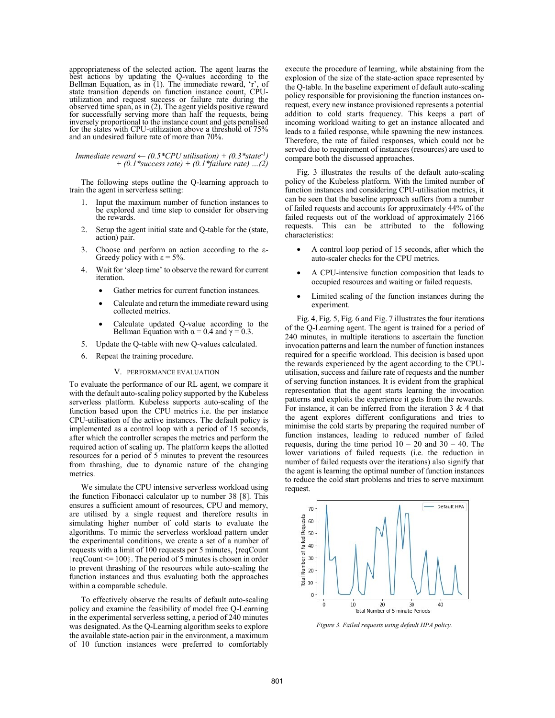appropriateness of the selected action. The agent learns the best actions by updating the Q-values according to the Bellman Equation, as in (1). The immediate reward, 'r', of state transition depends on function instance count, CPUutilization and request success or failure rate during the observed time span, as in (2). The agent yields positive reward for successfully serving more than half the requests, being inversely proportional to the instance count and gets penalised for the states with CPU-utilization above a threshold of 75% and an undesired failure rate of more than 70%.

*Immediate reward*  $\leftarrow$  (0.5\*CPU utilisation) + (0.3\*state<sup>-1</sup>) *+ (0.1\*success rate) + (0.1\*failure rate) …(2)*

The following steps outline the Q-learning approach to train the agent in serverless setting:

- 1. Input the maximum number of function instances to be explored and time step to consider for observing the rewards.
- 2. Setup the agent initial state and Q-table for the (state, action) pair.
- 3. Choose and perform an action according to the ε-Greedy policy with  $\varepsilon = 5\%$ .
- 4. Wait for 'sleep time' to observe the reward for current iteration.
	- Gather metrics for current function instances.
	- Calculate and return the immediate reward using collected metrics.
	- Calculate updated Q-value according to the Bellman Equation with  $\alpha = 0.4$  and  $\gamma = 0.3$ .
- 5. Update the Q-table with new Q-values calculated.
- 6. Repeat the training procedure.

## V. PERFORMANCE EVALUATION

To evaluate the performance of our RL agent, we compare it with the default auto-scaling policy supported by the Kubeless serverless platform. Kubeless supports auto-scaling of the function based upon the CPU metrics i.e. the per instance CPU-utilisation of the active instances. The default policy is implemented as a control loop with a period of 15 seconds, after which the controller scrapes the metrics and perform the required action of scaling up. The platform keeps the allotted resources for a period of 5 minutes to prevent the resources from thrashing, due to dynamic nature of the changing metrics.

 We simulate the CPU intensive serverless workload using the function Fibonacci calculator up to number 38 [8]. This ensures a sufficient amount of resources, CPU and memory, are utilised by a single request and therefore results in simulating higher number of cold starts to evaluate the algorithms. To mimic the serverless workload pattern under the experimental conditions, we create a set of a number of requests with a limit of 100 requests per 5 minutes, {reqCount  $|$  reqCount  $\leq 100$ . The period of 5 minutes is chosen in order to prevent thrashing of the resources while auto-scaling the function instances and thus evaluating both the approaches within a comparable schedule.

 To effectively observe the results of default auto-scaling policy and examine the feasibility of model free Q-Learning in the experimental serverless setting, a period of 240 minutes was designated. As the Q-Learning algorithm seeks to explore the available state-action pair in the environment, a maximum of 10 function instances were preferred to comfortably execute the procedure of learning, while abstaining from the explosion of the size of the state-action space represented by the Q-table. In the baseline experiment of default auto-scaling policy responsible for provisioning the function instances onrequest, every new instance provisioned represents a potential addition to cold starts frequency. This keeps a part of incoming workload waiting to get an instance allocated and leads to a failed response, while spawning the new instances. Therefore, the rate of failed responses, which could not be served due to requirement of instances (resources) are used to compare both the discussed approaches.

 Fig. 3 illustrates the results of the default auto-scaling policy of the Kubeless platform. With the limited number of function instances and considering CPU-utilisation metrics, it can be seen that the baseline approach suffers from a number of failed requests and accounts for approximately 44% of the failed requests out of the workload of approximately 2166 requests. This can be attributed to the following characteristics:

- A control loop period of 15 seconds, after which the auto-scaler checks for the CPU metrics.
- A CPU-intensive function composition that leads to occupied resources and waiting or failed requests.
- Limited scaling of the function instances during the experiment.

 Fig. 4, Fig. 5, Fig. 6 and Fig. 7 illustrates the four iterations of the Q-Learning agent. The agent is trained for a period of 240 minutes, in multiple iterations to ascertain the function invocation patterns and learn the number of function instances required for a specific workload. This decision is based upon the rewards experienced by the agent according to the CPUutilisation, success and failure rate of requests and the number of serving function instances. It is evident from the graphical representation that the agent starts learning the invocation patterns and exploits the experience it gets from the rewards. For instance, it can be inferred from the iteration  $3 \& 4$  that the agent explores different configurations and tries to minimise the cold starts by preparing the required number of function instances, leading to reduced number of failed requests, during the time period  $10 - 20$  and  $30 - 40$ . The lower variations of failed requests (i.e. the reduction in number of failed requests over the iterations) also signify that the agent is learning the optimal number of function instances to reduce the cold start problems and tries to serve maximum request.



*Figure 3. Failed requests using default HPA policy.*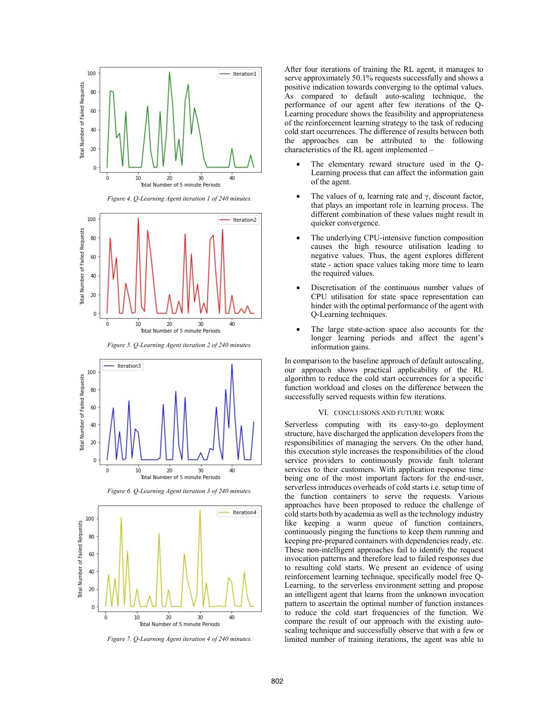

*Figure 4. Q-Learning Agent iteration 1 of 240 minutes.* 



*Figure 5. Q-Learning Agent iteration 2 of 240 minutes.*



*Figure 6. Q-Learning Agent iteration 3 of 240 minutes.*



*Figure 7. Q-Learning Agent iteration 4 of 240 minutes.*

After four iterations of training the RL agent, it manages to serve approximately 50.1% requests successfully and shows a positive indication towards converging to the optimal values. As compared to default auto-scaling technique, the performance of our agent after few iterations of the Q-Learning procedure shows the feasibility and appropriateness of the reinforcement learning strategy to the task of reducing cold start occurrences. The difference of results between both the approaches can be attributed to the following characteristics of the RL agent implemented –

- The elementary reward structure used in the Q-Learning process that can affect the information gain of the agent.
- The values of α, learning rate and γ, discount factor, that plays an important role in learning process. The different combination of these values might result in quicker convergence.
- The underlying CPU-intensive function composition causes the high resource utilisation leading to negative values. Thus, the agent explores different state - action space values taking more time to learn the required values.
- Discretisation of the continuous number values of CPU utilisation for state space representation can hinder with the optimal performance of the agent with Q-Learning techniques.
- The large state-action space also accounts for the longer learning periods and affect the agent's information gains.

In comparison to the baseline approach of default autoscaling, our approach shows practical applicability of the RL algorithm to reduce the cold start occurrences for a specific function workload and closes on the difference between the successfully served requests within few iterations.

## VI. CONCLUSIONS AND FUTURE WORK

Serverless computing with its easy-to-go deployment structure, have discharged the application developers from the responsibilities of managing the servers. On the other hand, this execution style increases the responsibilities of the cloud service providers to continuously provide fault tolerant services to their customers. With application response time being one of the most important factors for the end-user, serverless introduces overheads of cold starts i.e. setup time of the function containers to serve the requests. Various approaches have been proposed to reduce the challenge of cold starts both by academia as well as the technology industry like keeping a warm queue of function containers, continuously pinging the functions to keep them running and keeping pre-prepared containers with dependencies ready, etc. These non-intelligent approaches fail to identify the request invocation patterns and therefore lead to failed responses due to resulting cold starts. We present an evidence of using reinforcement learning technique, specifically model free Q-Learning, to the serverless environment setting and propose an intelligent agent that learns from the unknown invocation pattern to ascertain the optimal number of function instances to reduce the cold start frequencies of the function. We compare the result of our approach with the existing autoscaling technique and successfully observe that with a few or limited number of training iterations, the agent was able to